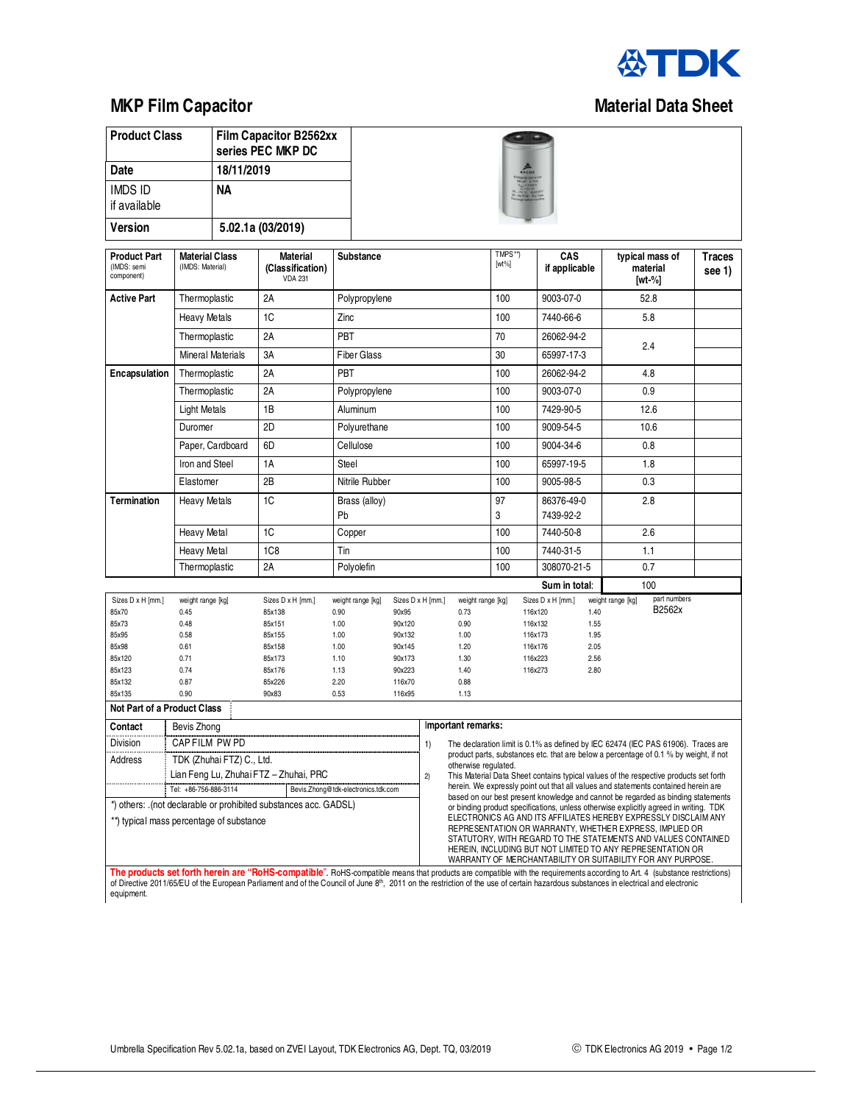

## **MKP Film Capacitor Capacitor Capacitor Capacitor Capacitor Capacitor Capacitor Capacitor Capacitor Capacitor Capacitor Capacitor Capacitor Capacitor Capacitor Capacitor Capacitor Capacitor Capacitor Capacitor Capacitor Ca**

| <b>Product Class</b>                                                                    |                                           |                          | <b>Film Capacitor B2562xx</b><br>series PEC MKP DC                                                                                                                         |                                  |                            |              |                                                                                                                                                                        |                                                                                         |                    |                           |     |                                             |                                                                                                                                                                                                                                                                                                                          |                         |  |  |  |
|-----------------------------------------------------------------------------------------|-------------------------------------------|--------------------------|----------------------------------------------------------------------------------------------------------------------------------------------------------------------------|----------------------------------|----------------------------|--------------|------------------------------------------------------------------------------------------------------------------------------------------------------------------------|-----------------------------------------------------------------------------------------|--------------------|---------------------------|-----|---------------------------------------------|--------------------------------------------------------------------------------------------------------------------------------------------------------------------------------------------------------------------------------------------------------------------------------------------------------------------------|-------------------------|--|--|--|
| Date                                                                                    |                                           | 18/11/2019               |                                                                                                                                                                            |                                  |                            |              |                                                                                                                                                                        |                                                                                         |                    |                           |     |                                             |                                                                                                                                                                                                                                                                                                                          |                         |  |  |  |
| <b>IMDS ID</b><br><b>NA</b>                                                             |                                           |                          |                                                                                                                                                                            |                                  |                            |              |                                                                                                                                                                        |                                                                                         |                    |                           |     |                                             |                                                                                                                                                                                                                                                                                                                          |                         |  |  |  |
| if available                                                                            |                                           |                          |                                                                                                                                                                            |                                  |                            |              |                                                                                                                                                                        |                                                                                         |                    |                           |     |                                             |                                                                                                                                                                                                                                                                                                                          |                         |  |  |  |
| Version                                                                                 |                                           |                          | 5.02.1a (03/2019)                                                                                                                                                          |                                  |                            |              |                                                                                                                                                                        |                                                                                         |                    |                           |     |                                             |                                                                                                                                                                                                                                                                                                                          |                         |  |  |  |
| <b>Product Part</b><br>(IMDS: semi<br>component)                                        | <b>Material Class</b><br>(IMDS: Material) |                          | Material<br>(Classification)<br><b>VDA 231</b>                                                                                                                             | <b>Substance</b>                 |                            |              |                                                                                                                                                                        | TMPS**)<br>$[wt\%]$                                                                     |                    | CAS<br>if applicable      |     | typical mass of<br>material<br>[wt-%]       |                                                                                                                                                                                                                                                                                                                          | <b>Traces</b><br>see 1) |  |  |  |
| <b>Active Part</b>                                                                      | Thermoplastic                             |                          | 2A                                                                                                                                                                         | Polypropylene                    |                            |              |                                                                                                                                                                        | 100                                                                                     |                    | 9003-07-0<br>52.8         |     |                                             |                                                                                                                                                                                                                                                                                                                          |                         |  |  |  |
|                                                                                         | <b>Heavy Metals</b><br>Thermoplastic      |                          | 1C                                                                                                                                                                         | Zinc                             |                            |              | 100                                                                                                                                                                    |                                                                                         | 7440-66-6          |                           | 5.8 |                                             |                                                                                                                                                                                                                                                                                                                          |                         |  |  |  |
|                                                                                         |                                           |                          | 2A                                                                                                                                                                         | PBT                              |                            |              |                                                                                                                                                                        | 70                                                                                      |                    | 26062-94-2<br>65997-17-3  |     | 2.4                                         |                                                                                                                                                                                                                                                                                                                          |                         |  |  |  |
|                                                                                         |                                           | <b>Mineral Materials</b> | 3A                                                                                                                                                                         | <b>Fiber Glass</b>               |                            |              | 30                                                                                                                                                                     |                                                                                         |                    |                           |     |                                             |                                                                                                                                                                                                                                                                                                                          |                         |  |  |  |
| Encapsulation                                                                           | Thermoplastic                             |                          | 2A                                                                                                                                                                         | PBT                              |                            |              | 100                                                                                                                                                                    |                                                                                         | 26062-94-2         |                           | 4.8 |                                             |                                                                                                                                                                                                                                                                                                                          |                         |  |  |  |
|                                                                                         | Thermoplastic                             |                          | 2A                                                                                                                                                                         | Polypropylene                    |                            |              | 100                                                                                                                                                                    |                                                                                         | 9003-07-0          |                           | 0.9 |                                             |                                                                                                                                                                                                                                                                                                                          |                         |  |  |  |
|                                                                                         | <b>Light Metals</b>                       |                          | 1B                                                                                                                                                                         | Aluminum                         |                            |              |                                                                                                                                                                        | 100                                                                                     |                    | 7429-90-5                 |     | 12.6                                        |                                                                                                                                                                                                                                                                                                                          |                         |  |  |  |
|                                                                                         | Duromer                                   |                          | 2D                                                                                                                                                                         | Polyurethane                     |                            |              |                                                                                                                                                                        | 100                                                                                     |                    | 9009-54-5                 |     | 10.6                                        |                                                                                                                                                                                                                                                                                                                          |                         |  |  |  |
|                                                                                         | Paper, Cardboard                          |                          | 6D                                                                                                                                                                         | Cellulose                        |                            |              | 100                                                                                                                                                                    |                                                                                         | 9004-34-6          |                           | 0.8 |                                             |                                                                                                                                                                                                                                                                                                                          |                         |  |  |  |
| Iron and Steel                                                                          |                                           |                          | 1A                                                                                                                                                                         | Steel                            |                            |              | 100                                                                                                                                                                    |                                                                                         | 65997-19-5         |                           | 1.8 |                                             |                                                                                                                                                                                                                                                                                                                          |                         |  |  |  |
|                                                                                         | Elastomer                                 |                          | 2B                                                                                                                                                                         | Nitrile Rubber                   |                            |              | 100                                                                                                                                                                    |                                                                                         | 9005-98-5          |                           |     | 0.3                                         |                                                                                                                                                                                                                                                                                                                          |                         |  |  |  |
| Termination                                                                             | <b>Heavy Metals</b>                       |                          | 1C<br>Brass (alloy)                                                                                                                                                        |                                  |                            |              |                                                                                                                                                                        | 97                                                                                      |                    | 86376-49-0                |     | 2.8                                         |                                                                                                                                                                                                                                                                                                                          |                         |  |  |  |
|                                                                                         |                                           |                          |                                                                                                                                                                            | Pb                               |                            |              | 3                                                                                                                                                                      |                                                                                         | 7439-92-2          |                           |     |                                             |                                                                                                                                                                                                                                                                                                                          |                         |  |  |  |
|                                                                                         | <b>Heavy Metal</b>                        |                          | 1C                                                                                                                                                                         | Copper                           |                            |              |                                                                                                                                                                        | 100<br>100                                                                              |                    | 7440-50-8                 |     |                                             | 2.6                                                                                                                                                                                                                                                                                                                      |                         |  |  |  |
|                                                                                         | <b>Heavy Metal</b>                        |                          | 1C <sub>8</sub>                                                                                                                                                            | Tin                              |                            |              |                                                                                                                                                                        |                                                                                         |                    | 7440-31-5                 |     | 1.1                                         |                                                                                                                                                                                                                                                                                                                          |                         |  |  |  |
|                                                                                         | Thermoplastic                             |                          | 2A                                                                                                                                                                         | Polyolefin                       |                            |              |                                                                                                                                                                        | 100                                                                                     |                    | 308070-21-5               |     | 0.7                                         |                                                                                                                                                                                                                                                                                                                          |                         |  |  |  |
|                                                                                         |                                           |                          |                                                                                                                                                                            |                                  |                            |              |                                                                                                                                                                        |                                                                                         |                    | Sum in total:             |     |                                             | 100                                                                                                                                                                                                                                                                                                                      |                         |  |  |  |
| Sizes D x H [mm.]<br>85x70                                                              | weight range [kg]<br>0.45                 |                          | Sizes D x H [mm.]<br>85x138                                                                                                                                                | weight range [kg]<br>0.90        | Sizes D x H [mm.]<br>90x95 |              | weight range [kg]<br>0.73                                                                                                                                              |                                                                                         | 116x120            | Sizes D x H [mm.]<br>1.40 |     | part numbers<br>weight range [kg]<br>B2562x |                                                                                                                                                                                                                                                                                                                          |                         |  |  |  |
| 85x73                                                                                   | 0.48                                      |                          | 85x151                                                                                                                                                                     | 1.00<br>90x120                   |                            | 0.90         |                                                                                                                                                                        |                                                                                         | 116x132            | 1.55                      |     |                                             |                                                                                                                                                                                                                                                                                                                          |                         |  |  |  |
|                                                                                         | 85x95<br>0.58<br>85x98<br>0.61            |                          | 85x155<br>85x158                                                                                                                                                           | 1.00<br>90x132<br>90x145<br>1.00 |                            | 1.00<br>1.20 |                                                                                                                                                                        |                                                                                         | 116x173<br>116x176 | 1.95<br>2.05              |     |                                             |                                                                                                                                                                                                                                                                                                                          |                         |  |  |  |
| 85x120                                                                                  | 0.71                                      |                          | 85x173                                                                                                                                                                     | 1.10<br>90x173                   |                            | 1.30         |                                                                                                                                                                        |                                                                                         | 116x223            | 2.56                      |     |                                             |                                                                                                                                                                                                                                                                                                                          |                         |  |  |  |
| 85x123<br>0.74                                                                          |                                           |                          | 85x176                                                                                                                                                                     | 1.13                             | 90x223<br>1.40             |              |                                                                                                                                                                        | 2.80<br>116x273                                                                         |                    |                           |     |                                             |                                                                                                                                                                                                                                                                                                                          |                         |  |  |  |
| 85x132<br>0.87                                                                          |                                           |                          | 85x226                                                                                                                                                                     | 2.20<br>116x70                   |                            | 0.88         |                                                                                                                                                                        |                                                                                         |                    |                           |     |                                             |                                                                                                                                                                                                                                                                                                                          |                         |  |  |  |
| 85x135<br>0.90<br>90x83<br>0.53<br>116x95<br>1.13<br><b>Not Part of a Product Class</b> |                                           |                          |                                                                                                                                                                            |                                  |                            |              |                                                                                                                                                                        |                                                                                         |                    |                           |     |                                             |                                                                                                                                                                                                                                                                                                                          |                         |  |  |  |
| Contact                                                                                 | Bevis Zhong                               |                          |                                                                                                                                                                            |                                  | Important remarks:         |              |                                                                                                                                                                        |                                                                                         |                    |                           |     |                                             |                                                                                                                                                                                                                                                                                                                          |                         |  |  |  |
| Division                                                                                |                                           | CAP FILM PW PD           |                                                                                                                                                                            |                                  |                            |              |                                                                                                                                                                        | 1)<br>The declaration limit is 0.1% as defined by IEC 62474 (IEC PAS 61906). Traces are |                    |                           |     |                                             |                                                                                                                                                                                                                                                                                                                          |                         |  |  |  |
| Address                                                                                 | TDK (Zhuhai FTZ) C., Ltd.                 |                          |                                                                                                                                                                            |                                  |                            |              | product parts, substances etc. that are below a percentage of 0.1 % by weight, if not                                                                                  |                                                                                         |                    |                           |     |                                             |                                                                                                                                                                                                                                                                                                                          |                         |  |  |  |
|                                                                                         | Lian Feng Lu, Zhuhai FTZ – Zhuhai, PRC    |                          |                                                                                                                                                                            |                                  |                            | 2)           | otherwise regulated.                                                                                                                                                   |                                                                                         |                    |                           |     |                                             | This Material Data Sheet contains typical values of the respective products set forth                                                                                                                                                                                                                                    |                         |  |  |  |
| Tel: +86-756-886-3114<br>Bevis.Zhong@tdk-electronics.tdk.com                            |                                           |                          |                                                                                                                                                                            |                                  |                            |              | herein. We expressly point out that all values and statements contained herein are<br>based on our best present knowledge and cannot be regarded as binding statements |                                                                                         |                    |                           |     |                                             |                                                                                                                                                                                                                                                                                                                          |                         |  |  |  |
| *) others: .(not declarable or prohibited substances acc. GADSL)                        |                                           |                          |                                                                                                                                                                            |                                  |                            |              |                                                                                                                                                                        | or binding product specifications, unless otherwise explicitly agreed in writing. TDK   |                    |                           |     |                                             |                                                                                                                                                                                                                                                                                                                          |                         |  |  |  |
| **) typical mass percentage of substance                                                |                                           |                          |                                                                                                                                                                            |                                  |                            |              |                                                                                                                                                                        |                                                                                         |                    |                           |     |                                             | ELECTRONICS AG AND ITS AFFILIATES HEREBY EXPRESSLY DISCLAIM ANY<br>REPRESENTATION OR WARRANTY, WHETHER EXPRESS, IMPLIED OR<br>STATUTORY, WITH REGARD TO THE STATEMENTS AND VALUES CONTAINED<br>HEREIN, INCLUDING BUT NOT LIMITED TO ANY REPRESENTATION OR<br>WARRANTY OF MERCHANTABILITY OR SUITABILITY FOR ANY PURPOSE. |                         |  |  |  |
|                                                                                         |                                           |                          | The products set forth herein are "RoHS-compatible". RoHS-compatible means that products are compatible with the requirements according to Art. 4 (substance restrictions) |                                  |                            |              |                                                                                                                                                                        |                                                                                         |                    |                           |     |                                             |                                                                                                                                                                                                                                                                                                                          |                         |  |  |  |

The products set forth herein are "RoHS-compatible". RoHS-compatible means that products are compatible with the requirements according to Art. 4 (substance restrictions)<br>of Directive 2011/65/EU of the European Parliament